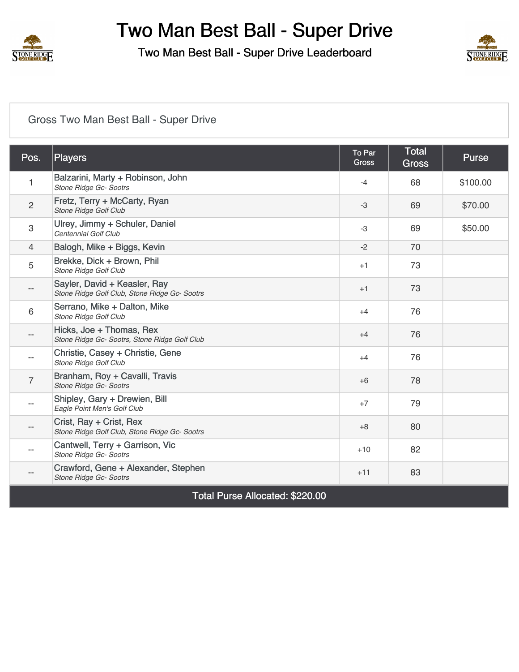

Two Man Best Ball - Super Drive Leaderboard



## [Gross Two Man Best Ball - Super Drive](https://static.golfgenius.com/v2tournaments/8330274158416001841?called_from=&round_index=1)

| Pos. | <b>Players</b>                                                                | To Par<br><b>Gross</b> | Total<br><b>Gross</b> | <b>Purse</b> |
|------|-------------------------------------------------------------------------------|------------------------|-----------------------|--------------|
| 1    | Balzarini, Marty + Robinson, John<br>Stone Ridge Gc- Sootrs                   | $-4$                   | 68                    | \$100.00     |
| 2    | Fretz, Terry + McCarty, Ryan<br>Stone Ridge Golf Club                         | -3                     | 69                    | \$70.00      |
| 3    | Ulrey, Jimmy + Schuler, Daniel<br>Centennial Golf Club                        | -3                     | 69                    | \$50.00      |
| 4    | Balogh, Mike + Biggs, Kevin                                                   | $-2$                   | 70                    |              |
| 5    | Brekke, Dick + Brown, Phil<br>Stone Ridge Golf Club                           | $+1$                   | 73                    |              |
|      | Sayler, David + Keasler, Ray<br>Stone Ridge Golf Club, Stone Ridge Gc- Sootrs | $+1$                   | 73                    |              |
| 6    | Serrano, Mike + Dalton, Mike<br>Stone Ridge Golf Club                         | $+4$                   | 76                    |              |
|      | Hicks, Joe + Thomas, Rex<br>Stone Ridge Gc- Sootrs, Stone Ridge Golf Club     | $+4$                   | 76                    |              |
|      | Christie, Casey + Christie, Gene<br>Stone Ridge Golf Club                     | $+4$                   | 76                    |              |
| 7    | Branham, Roy + Cavalli, Travis<br>Stone Ridge Gc- Sootrs                      | $+6$                   | 78                    |              |
|      | Shipley, Gary + Drewien, Bill<br>Eagle Point Men's Golf Club                  | $+7$                   | 79                    |              |
|      | Crist, Ray + Crist, Rex<br>Stone Ridge Golf Club, Stone Ridge Gc- Sootrs      | $+8$                   | 80                    |              |
|      | Cantwell, Terry + Garrison, Vic<br>Stone Ridge Gc- Sootrs                     | $+10$                  | 82                    |              |
| $-$  | Crawford, Gene + Alexander, Stephen<br>Stone Ridge Gc- Sootrs                 | $+11$                  | 83                    |              |

Total Purse Allocated: \$220.00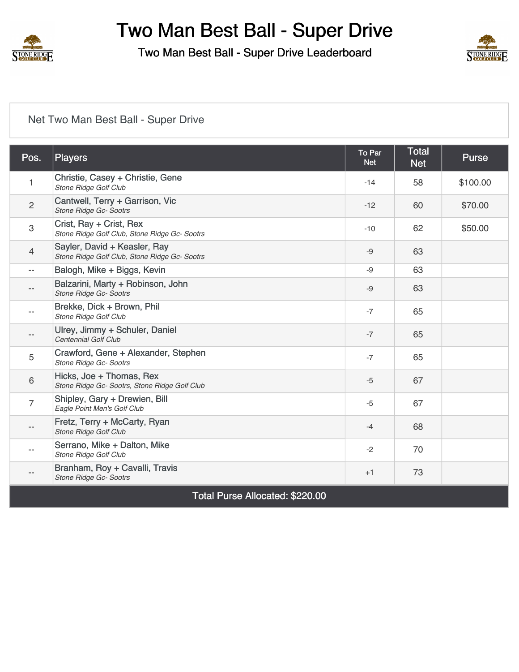

Two Man Best Ball - Super Drive Leaderboard



## [Net Two Man Best Ball - Super Drive](https://static.golfgenius.com/v2tournaments/8330274166938827570?called_from=&round_index=1)

| Pos.           | <b>Players</b>                                                                | <b>To Par</b><br><b>Net</b> | <b>Total</b><br><b>Net</b> | <b>Purse</b> |
|----------------|-------------------------------------------------------------------------------|-----------------------------|----------------------------|--------------|
| 1              | Christie, Casey + Christie, Gene<br>Stone Ridge Golf Club                     | $-14$                       | 58                         | \$100.00     |
| $\overline{2}$ | Cantwell, Terry + Garrison, Vic<br>Stone Ridge Gc- Sootrs                     | $-12$                       | 60                         | \$70.00      |
| 3              | Crist, Ray + Crist, Rex<br>Stone Ridge Golf Club, Stone Ridge Gc- Sootrs      | $-10$                       | 62                         | \$50.00      |
| 4              | Sayler, David + Keasler, Ray<br>Stone Ridge Golf Club, Stone Ridge Gc- Sootrs | $-9$                        | 63                         |              |
| $- -$          | Balogh, Mike + Biggs, Kevin                                                   | $-9$                        | 63                         |              |
| --             | Balzarini, Marty + Robinson, John<br>Stone Ridge Gc- Sootrs                   | $-9$                        | 63                         |              |
|                | Brekke, Dick + Brown, Phil<br><b>Stone Ridge Golf Club</b>                    | $-7$                        | 65                         |              |
|                | Ulrey, Jimmy + Schuler, Daniel<br>Centennial Golf Club                        | $-7$                        | 65                         |              |
| 5              | Crawford, Gene + Alexander, Stephen<br>Stone Ridge Gc- Sootrs                 | $-7$                        | 65                         |              |
| 6              | Hicks, Joe + Thomas, Rex<br>Stone Ridge Gc- Sootrs, Stone Ridge Golf Club     | $-5$                        | 67                         |              |
| $\overline{7}$ | Shipley, Gary + Drewien, Bill<br>Eagle Point Men's Golf Club                  | $-5$                        | 67                         |              |
| --             | Fretz, Terry + McCarty, Ryan<br>Stone Ridge Golf Club                         | $-4$                        | 68                         |              |
|                | Serrano, Mike + Dalton, Mike<br>Stone Ridge Golf Club                         | $-2$                        | 70                         |              |
| $-$            | Branham, Roy + Cavalli, Travis<br>Stone Ridge Gc- Sootrs                      | $+1$                        | 73                         |              |

Total Purse Allocated: \$220.00